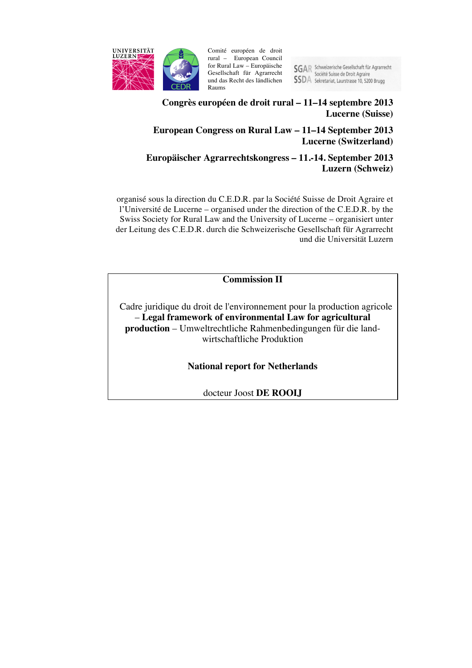

Comité européen de droit rural – European Council for Rural Law – Europäische Gesellschaft für Agrarrecht und das Recht des ländlichen Raums

SGAR Schweizerische Gesellschaft für Agrarrecht<br>Société Suisse de Droit Agraire **SSDA** Sekretariat, Laurstrasse 10, 5200 Brugg

# **Congrès européen de droit rural – 11–14 septembre 2013 Lucerne (Suisse)**

# **European Congress on Rural Law – 11–14 September 2013 Lucerne (Switzerland)**

# **Europäischer Agrarrechtskongress – 11.-14. September 2013 Luzern (Schweiz)**

organisé sous la direction du C.E.D.R. par la Société Suisse de Droit Agraire et l'Université de Lucerne – organised under the direction of the C.E.D.R. by the Swiss Society for Rural Law and the University of Lucerne – organisiert unter der Leitung des C.E.D.R. durch die Schweizerische Gesellschaft für Agrarrecht und die Universität Luzern

**Commission II**

Cadre juridique du droit de l'environnement pour la production agricole – **Legal framework of environmental Law for agricultural production** – Umweltrechtliche Rahmenbedingungen für die landwirtschaftliche Produktion

**National report for Netherlands**

docteur Joost **DE ROOIJ**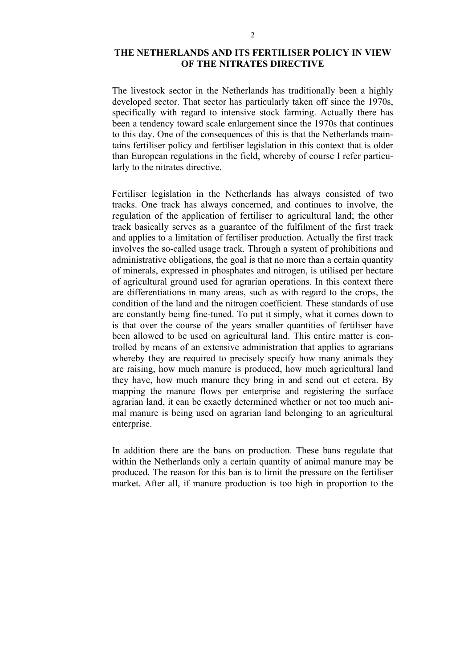### **THE NETHERLANDS AND ITS FERTILISER POLICY IN VIEW OF THE NITRATES DIRECTIVE**

The livestock sector in the Netherlands has traditionally been a highly developed sector. That sector has particularly taken off since the 1970s, specifically with regard to intensive stock farming. Actually there has been a tendency toward scale enlargement since the 1970s that continues to this day. One of the consequences of this is that the Netherlands maintains fertiliser policy and fertiliser legislation in this context that is older than European regulations in the field, whereby of course I refer particularly to the nitrates directive.

Fertiliser legislation in the Netherlands has always consisted of two tracks. One track has always concerned, and continues to involve, the regulation of the application of fertiliser to agricultural land; the other track basically serves as a guarantee of the fulfilment of the first track and applies to a limitation of fertiliser production. Actually the first track involves the so-called usage track. Through a system of prohibitions and administrative obligations, the goal is that no more than a certain quantity of minerals, expressed in phosphates and nitrogen, is utilised per hectare of agricultural ground used for agrarian operations. In this context there are differentiations in many areas, such as with regard to the crops, the condition of the land and the nitrogen coefficient. These standards of use are constantly being fine-tuned. To put it simply, what it comes down to is that over the course of the years smaller quantities of fertiliser have been allowed to be used on agricultural land. This entire matter is controlled by means of an extensive administration that applies to agrarians whereby they are required to precisely specify how many animals they are raising, how much manure is produced, how much agricultural land they have, how much manure they bring in and send out et cetera. By mapping the manure flows per enterprise and registering the surface agrarian land, it can be exactly determined whether or not too much animal manure is being used on agrarian land belonging to an agricultural enterprise.

In addition there are the bans on production. These bans regulate that within the Netherlands only a certain quantity of animal manure may be produced. The reason for this ban is to limit the pressure on the fertiliser market. After all, if manure production is too high in proportion to the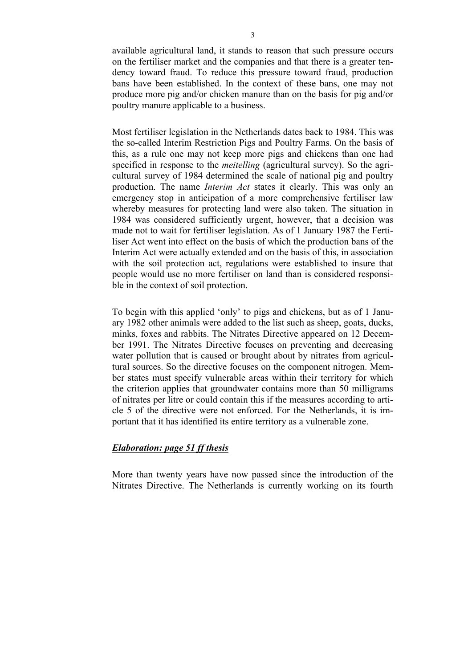available agricultural land, it stands to reason that such pressure occurs on the fertiliser market and the companies and that there is a greater tendency toward fraud. To reduce this pressure toward fraud, production bans have been established. In the context of these bans, one may not produce more pig and/or chicken manure than on the basis for pig and/or poultry manure applicable to a business.

Most fertiliser legislation in the Netherlands dates back to 1984. This was the so-called Interim Restriction Pigs and Poultry Farms. On the basis of this, as a rule one may not keep more pigs and chickens than one had specified in response to the *meitelling* (agricultural survey). So the agricultural survey of 1984 determined the scale of national pig and poultry production. The name *Interim Act* states it clearly. This was only an emergency stop in anticipation of a more comprehensive fertiliser law whereby measures for protecting land were also taken. The situation in 1984 was considered sufficiently urgent, however, that a decision was made not to wait for fertiliser legislation. As of 1 January 1987 the Fertiliser Act went into effect on the basis of which the production bans of the Interim Act were actually extended and on the basis of this, in association with the soil protection act, regulations were established to insure that people would use no more fertiliser on land than is considered responsible in the context of soil protection.

To begin with this applied 'only' to pigs and chickens, but as of 1 January 1982 other animals were added to the list such as sheep, goats, ducks, minks, foxes and rabbits. The Nitrates Directive appeared on 12 December 1991. The Nitrates Directive focuses on preventing and decreasing water pollution that is caused or brought about by nitrates from agricultural sources. So the directive focuses on the component nitrogen. Member states must specify vulnerable areas within their territory for which the criterion applies that groundwater contains more than 50 milligrams of nitrates per litre or could contain this if the measures according to article 5 of the directive were not enforced. For the Netherlands, it is important that it has identified its entire territory as a vulnerable zone.

#### *Elaboration: page 51 ff thesis*

More than twenty years have now passed since the introduction of the Nitrates Directive. The Netherlands is currently working on its fourth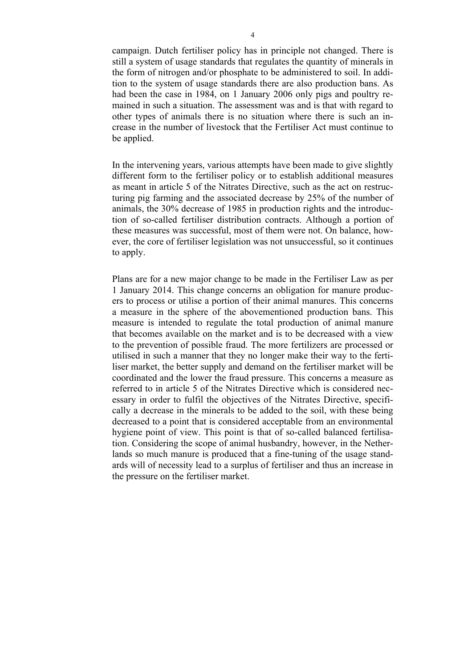campaign. Dutch fertiliser policy has in principle not changed. There is still a system of usage standards that regulates the quantity of minerals in the form of nitrogen and/or phosphate to be administered to soil. In addition to the system of usage standards there are also production bans. As had been the case in 1984, on 1 January 2006 only pigs and poultry remained in such a situation. The assessment was and is that with regard to other types of animals there is no situation where there is such an increase in the number of livestock that the Fertiliser Act must continue to be applied.

In the intervening years, various attempts have been made to give slightly different form to the fertiliser policy or to establish additional measures as meant in article 5 of the Nitrates Directive, such as the act on restructuring pig farming and the associated decrease by 25% of the number of animals, the 30% decrease of 1985 in production rights and the introduction of so-called fertiliser distribution contracts. Although a portion of these measures was successful, most of them were not. On balance, however, the core of fertiliser legislation was not unsuccessful, so it continues to apply.

Plans are for a new major change to be made in the Fertiliser Law as per 1 January 2014. This change concerns an obligation for manure producers to process or utilise a portion of their animal manures. This concerns a measure in the sphere of the abovementioned production bans. This measure is intended to regulate the total production of animal manure that becomes available on the market and is to be decreased with a view to the prevention of possible fraud. The more fertilizers are processed or utilised in such a manner that they no longer make their way to the fertiliser market, the better supply and demand on the fertiliser market will be coordinated and the lower the fraud pressure. This concerns a measure as referred to in article 5 of the Nitrates Directive which is considered necessary in order to fulfil the objectives of the Nitrates Directive, specifically a decrease in the minerals to be added to the soil, with these being decreased to a point that is considered acceptable from an environmental hygiene point of view. This point is that of so-called balanced fertilisation. Considering the scope of animal husbandry, however, in the Netherlands so much manure is produced that a fine-tuning of the usage standards will of necessity lead to a surplus of fertiliser and thus an increase in the pressure on the fertiliser market.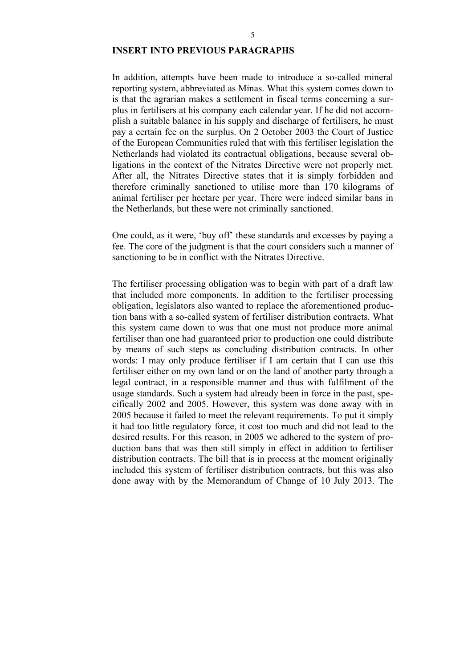# **INSERT INTO PREVIOUS PARAGRAPHS**

In addition, attempts have been made to introduce a so-called mineral reporting system, abbreviated as Minas. What this system comes down to is that the agrarian makes a settlement in fiscal terms concerning a surplus in fertilisers at his company each calendar year. If he did not accomplish a suitable balance in his supply and discharge of fertilisers, he must pay a certain fee on the surplus. On 2 October 2003 the Court of Justice of the European Communities ruled that with this fertiliser legislation the Netherlands had violated its contractual obligations, because several obligations in the context of the Nitrates Directive were not properly met. After all, the Nitrates Directive states that it is simply forbidden and therefore criminally sanctioned to utilise more than 170 kilograms of animal fertiliser per hectare per year. There were indeed similar bans in the Netherlands, but these were not criminally sanctioned.

One could, as it were, 'buy off' these standards and excesses by paying a fee. The core of the judgment is that the court considers such a manner of sanctioning to be in conflict with the Nitrates Directive.

The fertiliser processing obligation was to begin with part of a draft law that included more components. In addition to the fertiliser processing obligation, legislators also wanted to replace the aforementioned production bans with a so-called system of fertiliser distribution contracts. What this system came down to was that one must not produce more animal fertiliser than one had guaranteed prior to production one could distribute by means of such steps as concluding distribution contracts. In other words: I may only produce fertiliser if I am certain that I can use this fertiliser either on my own land or on the land of another party through a legal contract, in a responsible manner and thus with fulfilment of the usage standards. Such a system had already been in force in the past, specifically 2002 and 2005. However, this system was done away with in 2005 because it failed to meet the relevant requirements. To put it simply it had too little regulatory force, it cost too much and did not lead to the desired results. For this reason, in 2005 we adhered to the system of production bans that was then still simply in effect in addition to fertiliser distribution contracts. The bill that is in process at the moment originally included this system of fertiliser distribution contracts, but this was also done away with by the Memorandum of Change of 10 July 2013. The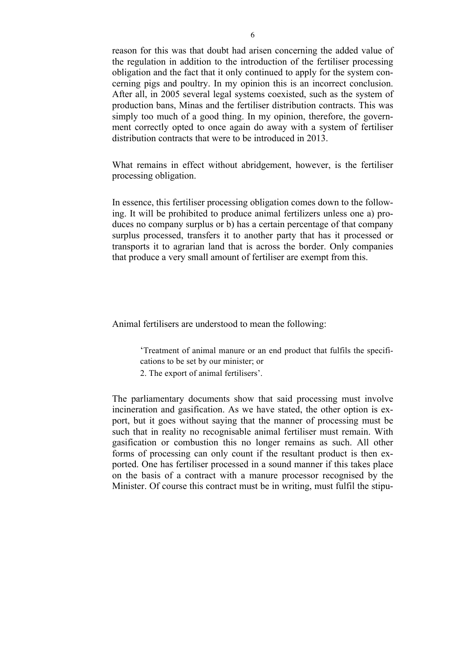reason for this was that doubt had arisen concerning the added value of the regulation in addition to the introduction of the fertiliser processing obligation and the fact that it only continued to apply for the system concerning pigs and poultry. In my opinion this is an incorrect conclusion. After all, in 2005 several legal systems coexisted, such as the system of production bans, Minas and the fertiliser distribution contracts. This was simply too much of a good thing. In my opinion, therefore, the government correctly opted to once again do away with a system of fertiliser distribution contracts that were to be introduced in 2013.

What remains in effect without abridgement, however, is the fertiliser processing obligation.

In essence, this fertiliser processing obligation comes down to the following. It will be prohibited to produce animal fertilizers unless one a) produces no company surplus or b) has a certain percentage of that company surplus processed, transfers it to another party that has it processed or transports it to agrarian land that is across the border. Only companies that produce a very small amount of fertiliser are exempt from this.

Animal fertilisers are understood to mean the following:

'Treatment of animal manure or an end product that fulfils the specifications to be set by our minister; or

2. The export of animal fertilisers'.

The parliamentary documents show that said processing must involve incineration and gasification. As we have stated, the other option is export, but it goes without saying that the manner of processing must be such that in reality no recognisable animal fertiliser must remain. With gasification or combustion this no longer remains as such. All other forms of processing can only count if the resultant product is then exported. One has fertiliser processed in a sound manner if this takes place on the basis of a contract with a manure processor recognised by the Minister. Of course this contract must be in writing, must fulfil the stipu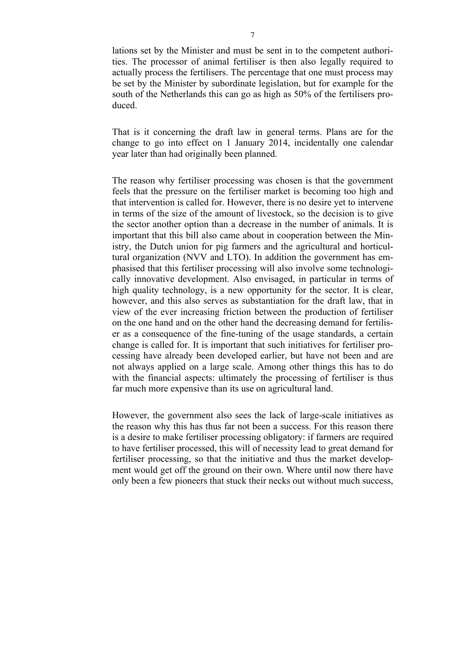lations set by the Minister and must be sent in to the competent authorities. The processor of animal fertiliser is then also legally required to actually process the fertilisers. The percentage that one must process may be set by the Minister by subordinate legislation, but for example for the south of the Netherlands this can go as high as 50% of the fertilisers produced.

That is it concerning the draft law in general terms. Plans are for the change to go into effect on 1 January 2014, incidentally one calendar year later than had originally been planned.

The reason why fertiliser processing was chosen is that the government feels that the pressure on the fertiliser market is becoming too high and that intervention is called for. However, there is no desire yet to intervene in terms of the size of the amount of livestock, so the decision is to give the sector another option than a decrease in the number of animals. It is important that this bill also came about in cooperation between the Ministry, the Dutch union for pig farmers and the agricultural and horticultural organization (NVV and LTO). In addition the government has emphasised that this fertiliser processing will also involve some technologically innovative development. Also envisaged, in particular in terms of high quality technology, is a new opportunity for the sector. It is clear, however, and this also serves as substantiation for the draft law, that in view of the ever increasing friction between the production of fertiliser on the one hand and on the other hand the decreasing demand for fertiliser as a consequence of the fine-tuning of the usage standards, a certain change is called for. It is important that such initiatives for fertiliser processing have already been developed earlier, but have not been and are not always applied on a large scale. Among other things this has to do with the financial aspects: ultimately the processing of fertiliser is thus far much more expensive than its use on agricultural land.

However, the government also sees the lack of large-scale initiatives as the reason why this has thus far not been a success. For this reason there is a desire to make fertiliser processing obligatory: if farmers are required to have fertiliser processed, this will of necessity lead to great demand for fertiliser processing, so that the initiative and thus the market development would get off the ground on their own. Where until now there have only been a few pioneers that stuck their necks out without much success,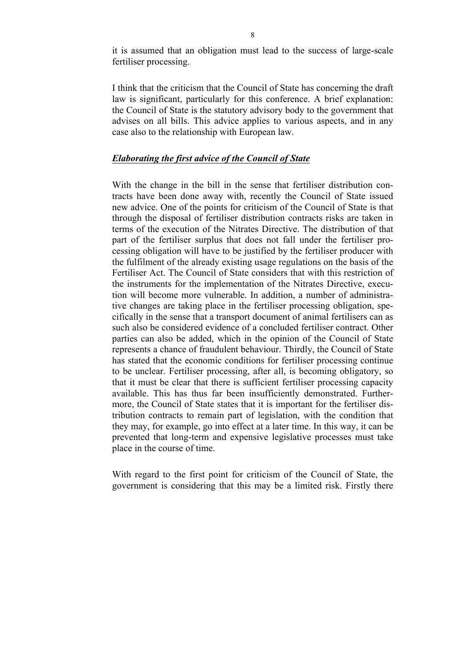it is assumed that an obligation must lead to the success of large-scale fertiliser processing.

I think that the criticism that the Council of State has concerning the draft law is significant, particularly for this conference. A brief explanation: the Council of State is the statutory advisory body to the government that advises on all bills. This advice applies to various aspects, and in any case also to the relationship with European law.

### *Elaborating the first advice of the Council of State*

With the change in the bill in the sense that fertiliser distribution contracts have been done away with, recently the Council of State issued new advice. One of the points for criticism of the Council of State is that through the disposal of fertiliser distribution contracts risks are taken in terms of the execution of the Nitrates Directive. The distribution of that part of the fertiliser surplus that does not fall under the fertiliser processing obligation will have to be justified by the fertiliser producer with the fulfilment of the already existing usage regulations on the basis of the Fertiliser Act. The Council of State considers that with this restriction of the instruments for the implementation of the Nitrates Directive, execution will become more vulnerable. In addition, a number of administrative changes are taking place in the fertiliser processing obligation, specifically in the sense that a transport document of animal fertilisers can as such also be considered evidence of a concluded fertiliser contract. Other parties can also be added, which in the opinion of the Council of State represents a chance of fraudulent behaviour. Thirdly, the Council of State has stated that the economic conditions for fertiliser processing continue to be unclear. Fertiliser processing, after all, is becoming obligatory, so that it must be clear that there is sufficient fertiliser processing capacity available. This has thus far been insufficiently demonstrated. Furthermore, the Council of State states that it is important for the fertiliser distribution contracts to remain part of legislation, with the condition that they may, for example, go into effect at a later time. In this way, it can be prevented that long-term and expensive legislative processes must take place in the course of time.

With regard to the first point for criticism of the Council of State, the government is considering that this may be a limited risk. Firstly there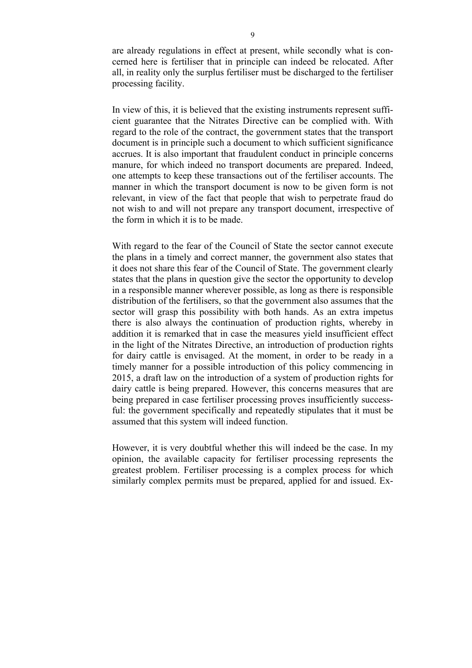are already regulations in effect at present, while secondly what is concerned here is fertiliser that in principle can indeed be relocated. After all, in reality only the surplus fertiliser must be discharged to the fertiliser processing facility.

In view of this, it is believed that the existing instruments represent sufficient guarantee that the Nitrates Directive can be complied with. With regard to the role of the contract, the government states that the transport document is in principle such a document to which sufficient significance accrues. It is also important that fraudulent conduct in principle concerns manure, for which indeed no transport documents are prepared. Indeed, one attempts to keep these transactions out of the fertiliser accounts. The manner in which the transport document is now to be given form is not relevant, in view of the fact that people that wish to perpetrate fraud do not wish to and will not prepare any transport document, irrespective of the form in which it is to be made.

With regard to the fear of the Council of State the sector cannot execute the plans in a timely and correct manner, the government also states that it does not share this fear of the Council of State. The government clearly states that the plans in question give the sector the opportunity to develop in a responsible manner wherever possible, as long as there is responsible distribution of the fertilisers, so that the government also assumes that the sector will grasp this possibility with both hands. As an extra impetus there is also always the continuation of production rights, whereby in addition it is remarked that in case the measures yield insufficient effect in the light of the Nitrates Directive, an introduction of production rights for dairy cattle is envisaged. At the moment, in order to be ready in a timely manner for a possible introduction of this policy commencing in 2015, a draft law on the introduction of a system of production rights for dairy cattle is being prepared. However, this concerns measures that are being prepared in case fertiliser processing proves insufficiently successful: the government specifically and repeatedly stipulates that it must be assumed that this system will indeed function.

However, it is very doubtful whether this will indeed be the case. In my opinion, the available capacity for fertiliser processing represents the greatest problem. Fertiliser processing is a complex process for which similarly complex permits must be prepared, applied for and issued. Ex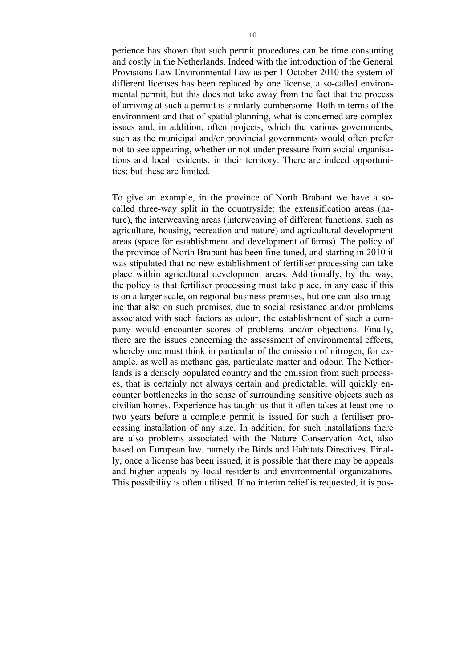perience has shown that such permit procedures can be time consuming and costly in the Netherlands. Indeed with the introduction of the General Provisions Law Environmental Law as per 1 October 2010 the system of different licenses has been replaced by one license, a so-called environmental permit, but this does not take away from the fact that the process of arriving at such a permit is similarly cumbersome. Both in terms of the environment and that of spatial planning, what is concerned are complex issues and, in addition, often projects, which the various governments, such as the municipal and/or provincial governments would often prefer not to see appearing, whether or not under pressure from social organisations and local residents, in their territory. There are indeed opportunities; but these are limited.

To give an example, in the province of North Brabant we have a socalled three-way split in the countryside: the extensification areas (nature), the interweaving areas (interweaving of different functions, such as agriculture, housing, recreation and nature) and agricultural development areas (space for establishment and development of farms). The policy of the province of North Brabant has been fine-tuned, and starting in 2010 it was stipulated that no new establishment of fertiliser processing can take place within agricultural development areas. Additionally, by the way, the policy is that fertiliser processing must take place, in any case if this is on a larger scale, on regional business premises, but one can also imagine that also on such premises, due to social resistance and/or problems associated with such factors as odour, the establishment of such a company would encounter scores of problems and/or objections. Finally, there are the issues concerning the assessment of environmental effects, whereby one must think in particular of the emission of nitrogen, for example, as well as methane gas, particulate matter and odour. The Netherlands is a densely populated country and the emission from such processes, that is certainly not always certain and predictable, will quickly encounter bottlenecks in the sense of surrounding sensitive objects such as civilian homes. Experience has taught us that it often takes at least one to two years before a complete permit is issued for such a fertiliser processing installation of any size. In addition, for such installations there are also problems associated with the Nature Conservation Act, also based on European law, namely the Birds and Habitats Directives. Finally, once a license has been issued, it is possible that there may be appeals and higher appeals by local residents and environmental organizations. This possibility is often utilised. If no interim relief is requested, it is pos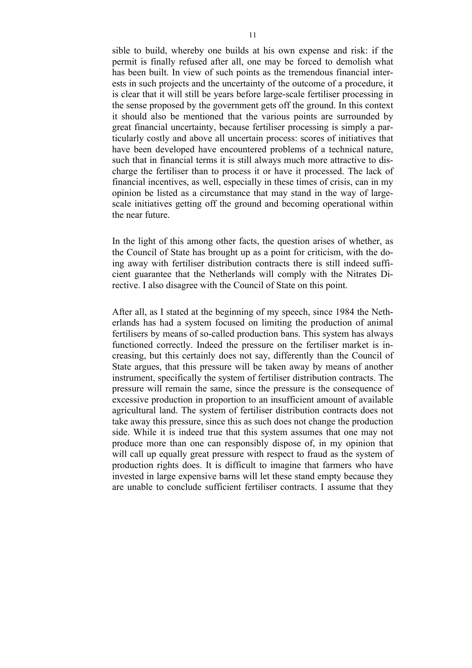sible to build, whereby one builds at his own expense and risk: if the permit is finally refused after all, one may be forced to demolish what has been built. In view of such points as the tremendous financial interests in such projects and the uncertainty of the outcome of a procedure, it is clear that it will still be years before large-scale fertiliser processing in the sense proposed by the government gets off the ground. In this context it should also be mentioned that the various points are surrounded by great financial uncertainty, because fertiliser processing is simply a particularly costly and above all uncertain process: scores of initiatives that have been developed have encountered problems of a technical nature, such that in financial terms it is still always much more attractive to discharge the fertiliser than to process it or have it processed. The lack of financial incentives, as well, especially in these times of crisis, can in my opinion be listed as a circumstance that may stand in the way of largescale initiatives getting off the ground and becoming operational within the near future.

In the light of this among other facts, the question arises of whether, as the Council of State has brought up as a point for criticism, with the doing away with fertiliser distribution contracts there is still indeed sufficient guarantee that the Netherlands will comply with the Nitrates Directive. I also disagree with the Council of State on this point.

After all, as I stated at the beginning of my speech, since 1984 the Netherlands has had a system focused on limiting the production of animal fertilisers by means of so-called production bans. This system has always functioned correctly. Indeed the pressure on the fertiliser market is increasing, but this certainly does not say, differently than the Council of State argues, that this pressure will be taken away by means of another instrument, specifically the system of fertiliser distribution contracts. The pressure will remain the same, since the pressure is the consequence of excessive production in proportion to an insufficient amount of available agricultural land. The system of fertiliser distribution contracts does not take away this pressure, since this as such does not change the production side. While it is indeed true that this system assumes that one may not produce more than one can responsibly dispose of, in my opinion that will call up equally great pressure with respect to fraud as the system of production rights does. It is difficult to imagine that farmers who have invested in large expensive barns will let these stand empty because they are unable to conclude sufficient fertiliser contracts. I assume that they